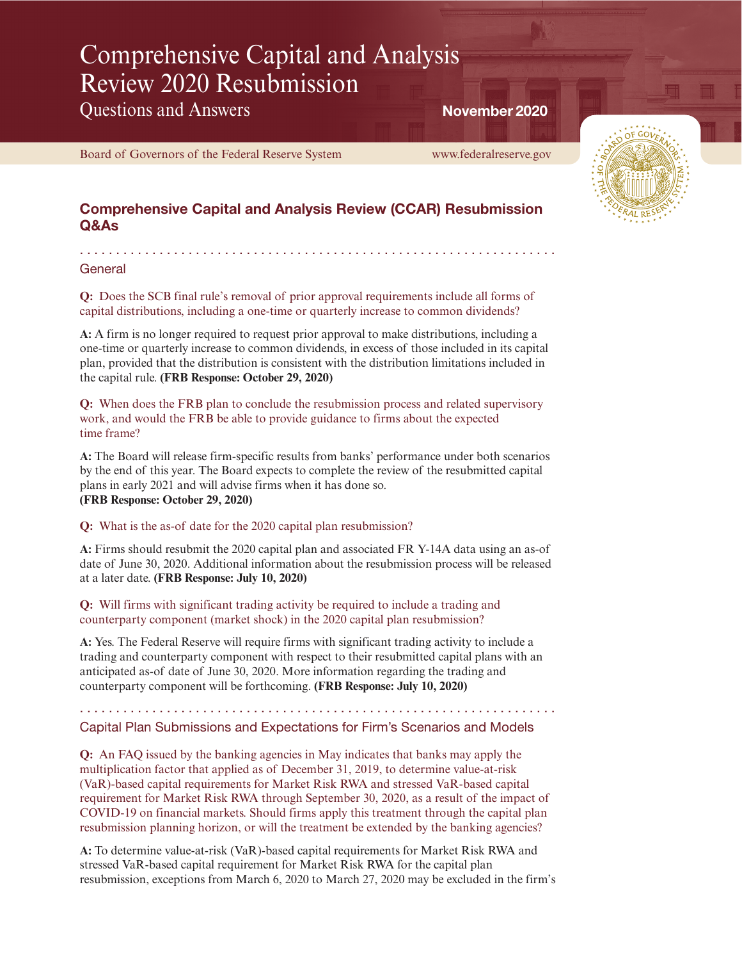# Comprehensive Capital and Analysis Review 2020 Resubmission

Questions and Answers

. . . . . . . . . . . . . . . . . . . . . . . . . . . . . . . . . . . . . . . . . . . . . . . . . . . . . . . . . . . . . . . . . .

[Board of Governors of the Federal Reserve System www.federalreserve.gov](https://www.federalreserve.gov)

November 2020



# Comprehensive Capital and Analysis Review (CCAR) Resubmission Q&As

## General

**Q:** Does the SCB final rule's removal of prior approval requirements include all forms of capital distributions, including a one-time or quarterly increase to common dividends?

**A:** A firm is no longer required to request prior approval to make distributions, including a one-time or quarterly increase to common dividends, in excess of those included in its capital plan, provided that the distribution is consistent with the distribution limitations included in the capital rule. **(FRB Response: October 29, 2020)**

**Q:** When does the FRB plan to conclude the resubmission process and related supervisory work, and would the FRB be able to provide guidance to firms about the expected time frame?

**A:** The Board will release firm-specific results from banks' performance under both scenarios by the end of this year. The Board expects to complete the review of the resubmitted capital plans in early 2021 and will advise firms when it has done so. **(FRB Response: October 29, 2020)**

## **Q:** What is the as-of date for the 2020 capital plan resubmission?

**A:** Firms should resubmit the 2020 capital plan and associated FR Y-14A data using an as-of date of June 30, 2020. Additional information about the resubmission process will be released at a later date. **(FRB Response: July 10, 2020)**

**Q:** Will firms with significant trading activity be required to include a trading and counterparty component (market shock) in the 2020 capital plan resubmission?

**A:** Yes. The Federal Reserve will require firms with significant trading activity to include a trading and counterparty component with respect to their resubmitted capital plans with an anticipated as-of date of June 30, 2020. More information regarding the trading and counterparty component will be forthcoming. **(FRB Response: July 10, 2020)**

. . . . . . . . . . . . . . . . . . . . . . . . . . . . . . . . . . . . . . . . . . . . . . . . . . . . . . . . . . . . . . . . . .

## Capital Plan Submissions and Expectations for Firm's Scenarios and Models

**Q:** An FAQ issued by the banking agencies in May indicates that banks may apply the multiplication factor that applied as of December 31, 2019, to determine value-at-risk (VaR)-based capital requirements for Market Risk RWA and stressed VaR-based capital requirement for Market Risk RWA through September 30, 2020, as a result of the impact of COVID-19 on financial markets. Should firms apply this treatment through the capital plan resubmission planning horizon, or will the treatment be extended by the banking agencies?

**A:** To determine value-at-risk (VaR)-based capital requirements for Market Risk RWA and stressed VaR-based capital requirement for Market Risk RWA for the capital plan resubmission, exceptions from March 6, 2020 to March 27, 2020 may be excluded in the firm's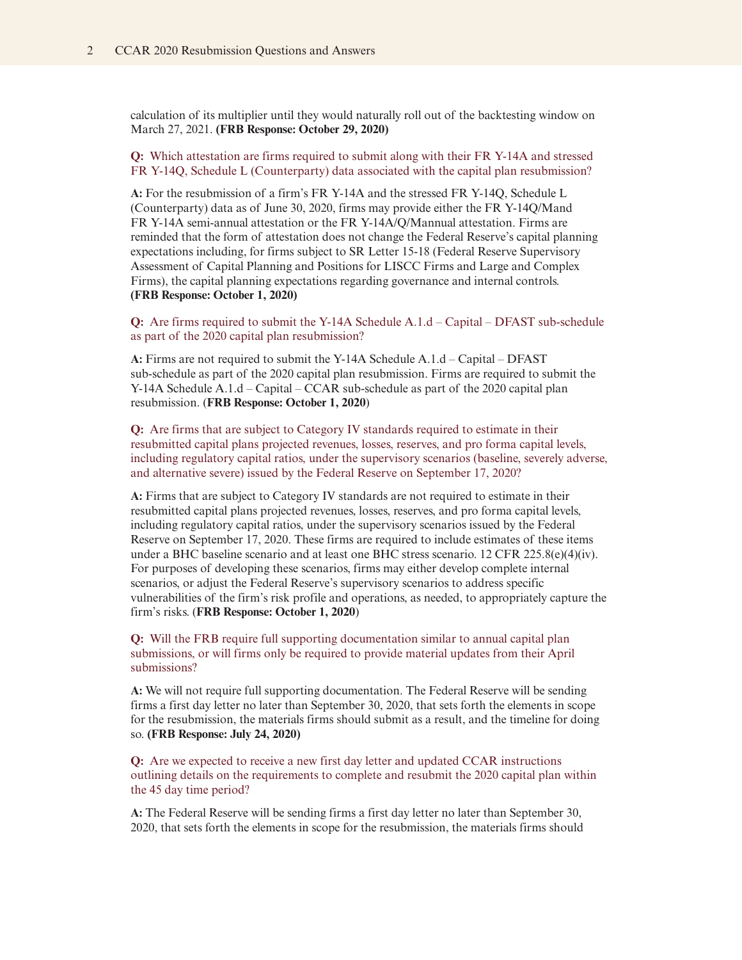calculation of its multiplier until they would naturally roll out of the backtesting window on March 27, 2021. **(FRB Response: October 29, 2020)**

**Q:** Which attestation are firms required to submit along with their FR Y-14A and stressed FR Y-14Q, Schedule L (Counterparty) data associated with the capital plan resubmission?

**A:** For the resubmission of a firm's FR Y-14A and the stressed FR Y-14Q, Schedule L (Counterparty) data as of June 30, 2020, firms may provide either the FR Y-14Q/Mand FR Y-14A semi-annual attestation or the FR Y-14A/Q/Mannual attestation. Firms are reminded that the form of attestation does not change the Federal Reserve's capital planning expectations including, for firms subject to SR Letter 15-18 (Federal Reserve Supervisory Assessment of Capital Planning and Positions for LISCC Firms and Large and Complex Firms), the capital planning expectations regarding governance and internal controls. **(FRB Response: October 1, 2020)**

**Q:** Are firms required to submit the Y-14A Schedule A.1.d – Capital – DFAST sub-schedule as part of the 2020 capital plan resubmission?

**A:** Firms are not required to submit the Y-14A Schedule A.1.d – Capital – DFAST sub-schedule as part of the 2020 capital plan resubmission. Firms are required to submit the Y-14A Schedule A.1.d – Capital – CCAR sub-schedule as part of the 2020 capital plan resubmission. (**FRB Response: October 1, 2020**)

**Q:** Are firms that are subject to Category IV standards required to estimate in their resubmitted capital plans projected revenues, losses, reserves, and pro forma capital levels, including regulatory capital ratios, under the supervisory scenarios (baseline, severely adverse, and alternative severe) issued by the Federal Reserve on September 17, 2020?

**A:** Firms that are subject to Category IV standards are not required to estimate in their resubmitted capital plans projected revenues, losses, reserves, and pro forma capital levels, including regulatory capital ratios, under the supervisory scenarios issued by the Federal Reserve on September 17, 2020. These firms are required to include estimates of these items under a BHC baseline scenario and at least one BHC stress scenario. 12 CFR 225.8(e)(4)(iv). For purposes of developing these scenarios, firms may either develop complete internal scenarios, or adjust the Federal Reserve's supervisory scenarios to address specific vulnerabilities of the firm's risk profile and operations, as needed, to appropriately capture the firm's risks. (**FRB Response: October 1, 2020**)

**Q:** Will the FRB require full supporting documentation similar to annual capital plan submissions, or will firms only be required to provide material updates from their April submissions?

**A:** We will not require full supporting documentation. The Federal Reserve will be sending firms a first day letter no later than September 30, 2020, that sets forth the elements in scope for the resubmission, the materials firms should submit as a result, and the timeline for doing so. **(FRB Response: July 24, 2020)**

**Q:** Are we expected to receive a new first day letter and updated CCAR instructions outlining details on the requirements to complete and resubmit the 2020 capital plan within the 45 day time period?

**A:** The Federal Reserve will be sending firms a first day letter no later than September 30, 2020, that sets forth the elements in scope for the resubmission, the materials firms should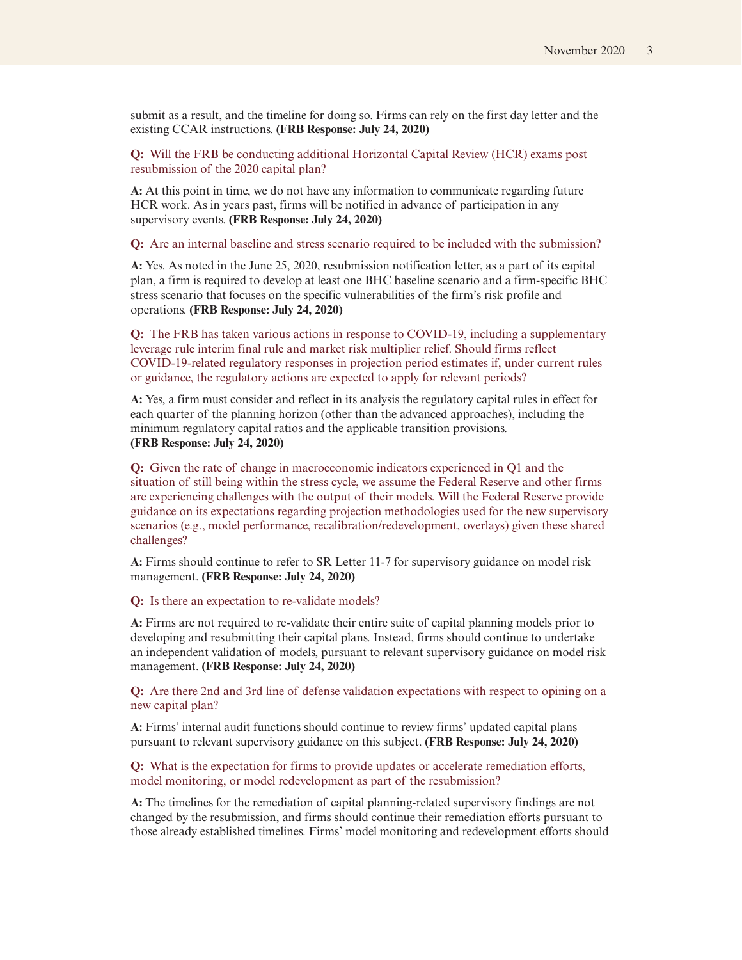submit as a result, and the timeline for doing so. Firms can rely on the first day letter and the existing CCAR instructions. **(FRB Response: July 24, 2020)**

**Q:** Will the FRB be conducting additional Horizontal Capital Review (HCR) exams post resubmission of the 2020 capital plan?

**A:** At this point in time, we do not have any information to communicate regarding future HCR work. As in years past, firms will be notified in advance of participation in any supervisory events. **(FRB Response: July 24, 2020)**

#### **Q:** Are an internal baseline and stress scenario required to be included with the submission?

**A:** Yes. As noted in the June 25, 2020, resubmission notification letter, as a part of its capital plan, a firm is required to develop at least one BHC baseline scenario and a firm-specific BHC stress scenario that focuses on the specific vulnerabilities of the firm's risk profile and operations. **(FRB Response: July 24, 2020)**

**Q:** The FRB has taken various actions in response to COVID-19, including a supplementary leverage rule interim final rule and market risk multiplier relief. Should firms reflect COVID-19-related regulatory responses in projection period estimates if, under current rules or guidance, the regulatory actions are expected to apply for relevant periods?

**A:** Yes, a firm must consider and reflect in its analysis the regulatory capital rules in effect for each quarter of the planning horizon (other than the advanced approaches), including the minimum regulatory capital ratios and the applicable transition provisions. **(FRB Response: July 24, 2020)**

**Q:** Given the rate of change in macroeconomic indicators experienced in Q1 and the situation of still being within the stress cycle, we assume the Federal Reserve and other firms are experiencing challenges with the output of their models. Will the Federal Reserve provide guidance on its expectations regarding projection methodologies used for the new supervisory scenarios (e.g., model performance, recalibration/redevelopment, overlays) given these shared challenges?

**A:** Firms should continue to refer to SR Letter 11-7 for supervisory guidance on model risk management. **(FRB Response: July 24, 2020)**

#### **Q:** Is there an expectation to re-validate models?

**A:** Firms are not required to re-validate their entire suite of capital planning models prior to developing and resubmitting their capital plans. Instead, firms should continue to undertake an independent validation of models, pursuant to relevant supervisory guidance on model risk management. **(FRB Response: July 24, 2020)**

**Q:** Are there 2nd and 3rd line of defense validation expectations with respect to opining on a new capital plan?

**A:** Firms' internal audit functions should continue to review firms' updated capital plans pursuant to relevant supervisory guidance on this subject. **(FRB Response: July 24, 2020)**

### **Q:** What is the expectation for firms to provide updates or accelerate remediation efforts, model monitoring, or model redevelopment as part of the resubmission?

**A:** The timelines for the remediation of capital planning-related supervisory findings are not changed by the resubmission, and firms should continue their remediation efforts pursuant to those already established timelines. Firms' model monitoring and redevelopment efforts should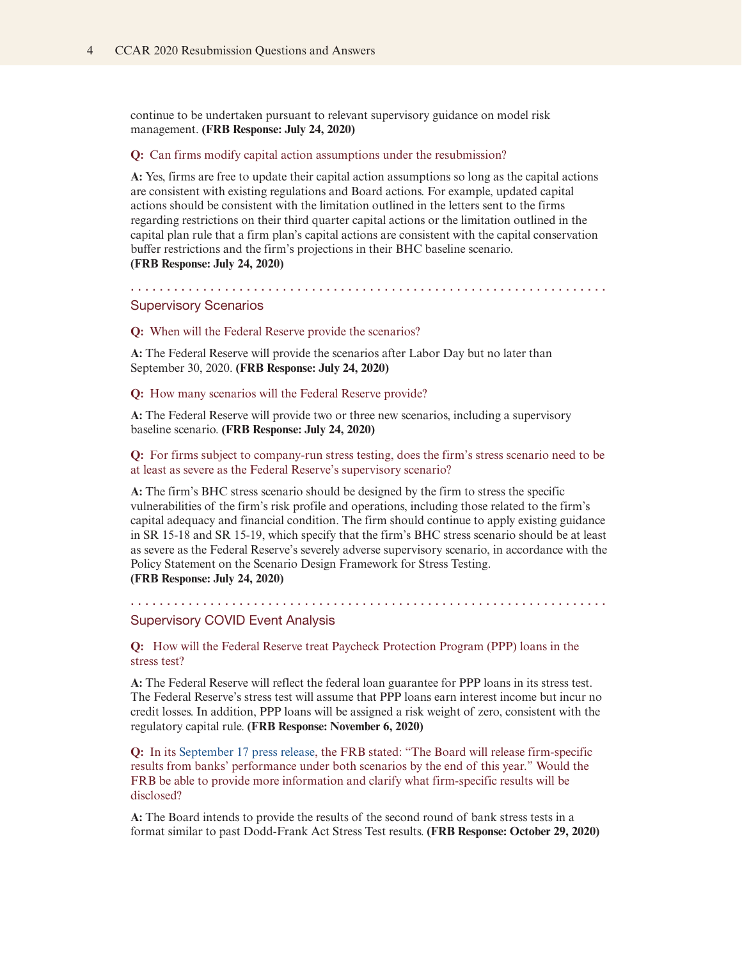continue to be undertaken pursuant to relevant supervisory guidance on model risk management. **(FRB Response: July 24, 2020)**

#### **Q:** Can firms modify capital action assumptions under the resubmission?

**A:** Yes, firms are free to update their capital action assumptions so long as the capital actions are consistent with existing regulations and Board actions. For example, updated capital actions should be consistent with the limitation outlined in the letters sent to the firms regarding restrictions on their third quarter capital actions or the limitation outlined in the capital plan rule that a firm plan's capital actions are consistent with the capital conservation buffer restrictions and the firm's projections in their BHC baseline scenario. **(FRB Response: July 24, 2020)**

. . . . . . . . . . . . . . . . . . . . . . . . . . . . . . . . . . . . . . . . . . . . . . . . . . . . . . . . . . . . . . . . . . Supervisory Scenarios

#### **Q:** When will the Federal Reserve provide the scenarios?

**A:** The Federal Reserve will provide the scenarios after Labor Day but no later than September 30, 2020. **(FRB Response: July 24, 2020)**

#### **Q:** How many scenarios will the Federal Reserve provide?

**A:** The Federal Reserve will provide two or three new scenarios, including a supervisory baseline scenario. **(FRB Response: July 24, 2020)**

**Q:** For firms subject to company-run stress testing, does the firm's stress scenario need to be at least as severe as the Federal Reserve's supervisory scenario?

**A:** The firm's BHC stress scenario should be designed by the firm to stress the specific vulnerabilities of the firm's risk profile and operations, including those related to the firm's capital adequacy and financial condition. The firm should continue to apply existing guidance in SR 15-18 and SR 15-19, which specify that the firm's BHC stress scenario should be at least as severe as the Federal Reserve's severely adverse supervisory scenario, in accordance with the Policy Statement on the Scenario Design Framework for Stress Testing. **(FRB Response: July 24, 2020)**

. . . . . . . . . . . . . . . . . . . . . . . . . . . . . . . . . . . . . . . . . . . . . . . . . . . . . . . . . . . . . . . . . .

#### Supervisory COVID Event Analysis

**Q:** How will the Federal Reserve treat Paycheck Protection Program (PPP) loans in the stress test?

**A:** The Federal Reserve will reflect the federal loan guarantee for PPP loans in its stress test. The Federal Reserve's stress test will assume that PPP loans earn interest income but incur no credit losses. In addition, PPP loans will be assigned a risk weight of zero, consistent with the regulatory capital rule. **(FRB Response: November 6, 2020)**

**Q:** In its [September 17 press release,](https://www.federalreserve.gov/newsevents/pressreleases/bcreg20200917a.htm) the FRB stated: "The Board will release firm-specific results from banks' performance under both scenarios by the end of this year." Would the FRB be able to provide more information and clarify what firm-specific results will be disclosed?

**A:** The Board intends to provide the results of the second round of bank stress tests in a format similar to past Dodd-Frank Act Stress Test results. **(FRB Response: October 29, 2020)**